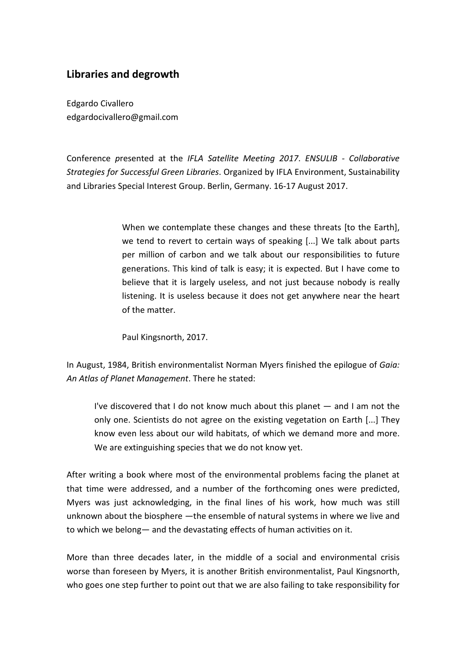# **Libraries and degrowth**

Edgardo Civallero edgardocivallero@gmail.com

Conference *p*resented at the *IFLA Satellite Meeting 2017*. *ENSULIB - Collaborative Strategies for Successful Green Libraries*. Organized by IFLA Environment, Sustainability and Libraries Special Interest Group. Berlin, Germany. 16-17 August 2017.

> When we contemplate these changes and these threats [to the Earth]. we tend to revert to certain ways of speaking [...] We talk about parts per million of carbon and we talk about our responsibilities to future generations. This kind of talk is easy; it is expected. But I have come to believe that it is largely useless, and not just because nobody is really listening. It is useless because it does not get anywhere near the heart of the matter.

Paul Kingsnorth, 2017.

In August, 1984, British environmentalist Norman Myers finished the epilogue of *Gaia: An Atlas of Planet Management*. There he stated:

I've discovered that I do not know much about this planet ― and I am not the only one. Scientists do not agree on the existing vegetation on Earth [...] They know even less about our wild habitats, of which we demand more and more. We are extinguishing species that we do not know yet.

After writing a book where most of the environmental problems facing the planet at that time were addressed, and a number of the forthcoming ones were predicted, Myers was just acknowledging, in the final lines of his work, how much was still unknown about the biosphere ―the ensemble of natural systems in where we live and to which we belong— and the devastating effects of human activities on it.

More than three decades later, in the middle of a social and environmental crisis worse than foreseen by Myers, it is another British environmentalist, Paul Kingsnorth, who goes one step further to point out that we are also failing to take responsibility for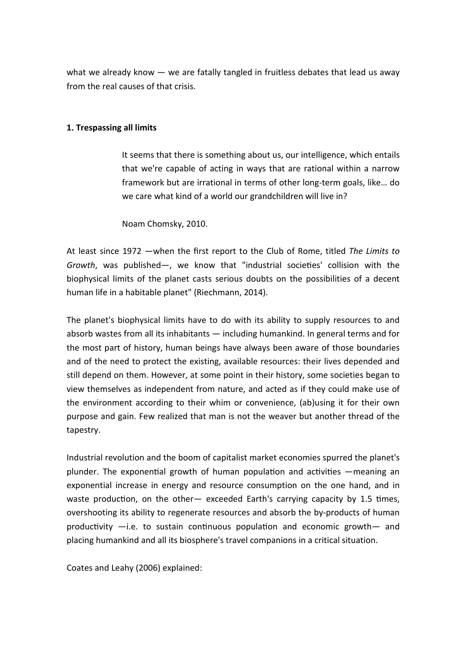what we already know  $-$  we are fatally tangled in fruitless debates that lead us away from the real causes of that crisis.

## **1. Trespassing all limits**

It seems that there is something about us, our intelligence, which entails that we're capable of acting in ways that are rational within a narrow framework but are irrational in terms of other long-term goals, like… do we care what kind of a world our grandchildren will live in?

Noam Chomsky, 2010.

At least since 1972 ―when the first report to the Club of Rome, titled *The Limits to Growth*, was published-, we know that "industrial societies' collision with the biophysical limits of the planet casts serious doubts on the possibilities of a decent human life in a habitable planet" (Riechmann, 2014).

The planet's biophysical limits have to do with its ability to supply resources to and absorb wastes from all its inhabitants ― including humankind. In general terms and for the most part of history, human beings have always been aware of those boundaries and of the need to protect the existing, available resources: their lives depended and still depend on them. However, at some point in their history, some societies began to view themselves as independent from nature, and acted as if they could make use of the environment according to their whim or convenience, (ab)using it for their own purpose and gain. Few realized that man is not the weaver but another thread of the tapestry.

Industrial revolution and the boom of capitalist market economies spurred the planet's plunder. The exponential growth of human population and activities —meaning an exponential increase in energy and resource consumption on the one hand, and in waste production, on the other- exceeded Earth's carrying capacity by 1.5 times, overshooting its ability to regenerate resources and absorb the by-products of human productivity  $-i.e.$  to sustain continuous population and economic growth— and placing humankind and all its biosphere's travel companions in a critical situation.

Coates and Leahy (2006) explained: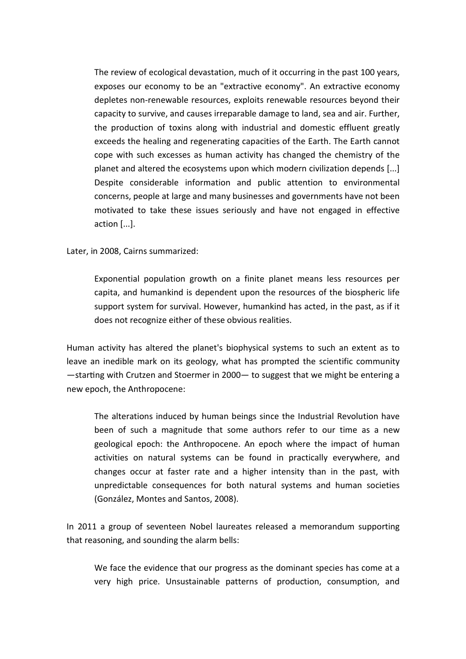The review of ecological devastation, much of it occurring in the past 100 years, exposes our economy to be an "extractive economy". An extractive economy depletes non-renewable resources, exploits renewable resources beyond their capacity to survive, and causes irreparable damage to land, sea and air. Further, the production of toxins along with industrial and domestic effluent greatly exceeds the healing and regenerating capacities of the Earth. The Earth cannot cope with such excesses as human activity has changed the chemistry of the planet and altered the ecosystems upon which modern civilization depends [...] Despite considerable information and public attention to environmental concerns, people at large and many businesses and governments have not been motivated to take these issues seriously and have not engaged in effective action [...].

Later, in 2008, Cairns summarized:

Exponential population growth on a finite planet means less resources per capita, and humankind is dependent upon the resources of the biospheric life support system for survival. However, humankind has acted, in the past, as if it does not recognize either of these obvious realities.

Human activity has altered the planet's biophysical systems to such an extent as to leave an inedible mark on its geology, what has prompted the scientific community  $-$ starting with Crutzen and Stoermer in 2000 $-$  to suggest that we might be entering a new epoch, the Anthropocene:

The alterations induced by human beings since the Industrial Revolution have been of such a magnitude that some authors refer to our time as a new geological epoch: the Anthropocene. An epoch where the impact of human activities on natural systems can be found in practically everywhere, and changes occur at faster rate and a higher intensity than in the past, with unpredictable consequences for both natural systems and human societies (González, Montes and Santos, 2008).

In 2011 a group of seventeen Nobel laureates released a memorandum supporting that reasoning, and sounding the alarm bells:

We face the evidence that our progress as the dominant species has come at a very high price. Unsustainable patterns of production, consumption, and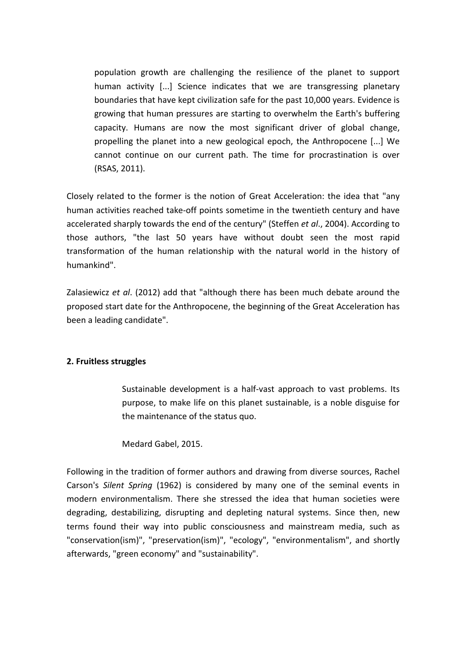population growth are challenging the resilience of the planet to support human activity [...] Science indicates that we are transgressing planetary boundaries that have kept civilization safe for the past 10,000 years. Evidence is growing that human pressures are starting to overwhelm the Earth's buffering capacity. Humans are now the most significant driver of global change, propelling the planet into a new geological epoch, the Anthropocene [...] We cannot continue on our current path. The time for procrastination is over (RSAS, 2011).

Closely related to the former is the notion of Great Acceleration: the idea that "any human activities reached take-off points sometime in the twentieth century and have accelerated sharply towards the end of the century" (Steffen *et al*., 2004). According to those authors, "the last 50 years have without doubt seen the most rapid transformation of the human relationship with the natural world in the history of humankind".

Zalasiewicz *et al*. (2012) add that "although there has been much debate around the proposed start date for the Anthropocene, the beginning of the Great Acceleration has been a leading candidate".

# **2. Fruitless struggles**

Sustainable development is a half-vast approach to vast problems. Its purpose, to make life on this planet sustainable, is a noble disguise for the maintenance of the status quo.

Medard Gabel, 2015.

Following in the tradition of former authors and drawing from diverse sources, Rachel Carson's *Silent Spring* (1962) is considered by many one of the seminal events in modern environmentalism. There she stressed the idea that human societies were degrading, destabilizing, disrupting and depleting natural systems. Since then, new terms found their way into public consciousness and mainstream media, such as "conservation(ism)", "preservation(ism)", "ecology", "environmentalism", and shortly afterwards, "green economy" and "sustainability".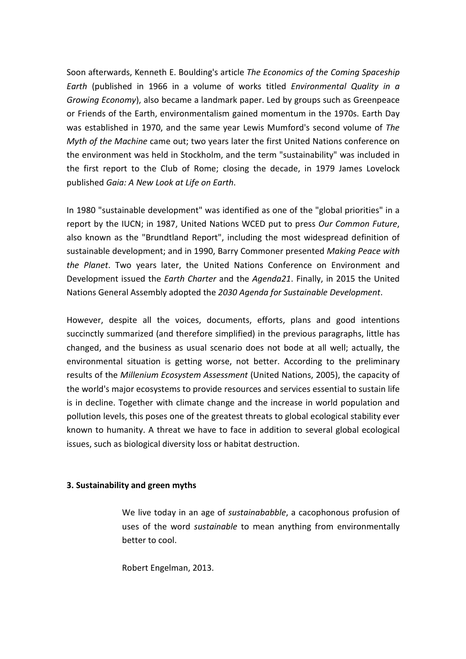Soon afterwards, Kenneth E. Boulding's article *The Economics of the Coming Spaceship Earth* (published in 1966 in a volume of works titled *Environmental Quality in a Growing Economy*), also became a landmark paper. Led by groups such as Greenpeace or Friends of the Earth, environmentalism gained momentum in the 1970s. Earth Day was established in 1970, and the same year Lewis Mumford's second volume of *The Myth of the Machine* came out; two years later the first United Nations conference on the environment was held in Stockholm, and the term "sustainability" was included in the first report to the Club of Rome; closing the decade, in 1979 James Lovelock published *Gaia: A New Look at Life on Earth*.

In 1980 "sustainable development" was identified as one of the "global priorities" in a report by the IUCN; in 1987, United Nations WCED put to press *Our Common Future*, also known as the "Brundtland Report", including the most widespread definition of sustainable development; and in 1990, Barry Commoner presented *Making Peace with the Planet*. Two years later, the United Nations Conference on Environment and Development issued the *Earth Charter* and the *Agenda21*. Finally, in 2015 the United Nations General Assembly adopted the *2030 Agenda for Sustainable Development*.

However, despite all the voices, documents, efforts, plans and good intentions succinctly summarized (and therefore simplified) in the previous paragraphs, little has changed, and the business as usual scenario does not bode at all well; actually, the environmental situation is getting worse, not better. According to the preliminary results of the *Millenium Ecosystem Assessment* (United Nations, 2005), the capacity of the world's major ecosystems to provide resources and services essential to sustain life is in decline. Together with climate change and the increase in world population and pollution levels, this poses one of the greatest threats to global ecological stability ever known to humanity. A threat we have to face in addition to several global ecological issues, such as biological diversity loss or habitat destruction.

#### **3. Sustainability and green myths**

We live today in an age of *sustainababble*, a cacophonous profusion of uses of the word *sustainable* to mean anything from environmentally better to cool.

Robert Engelman, 2013.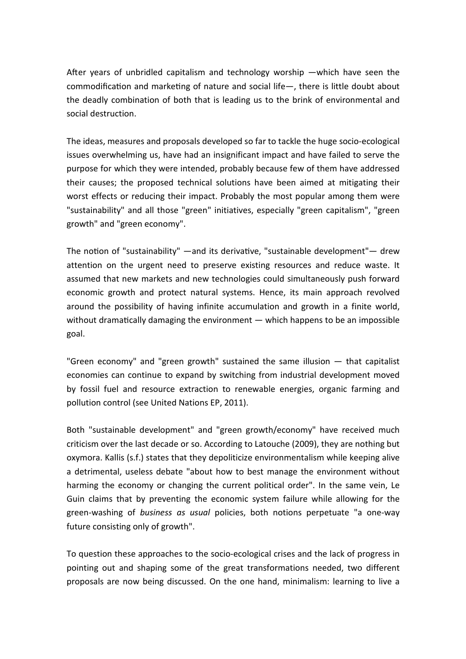After years of unbridled capitalism and technology worship  $-\omega$ hich have seen the commodification and marketing of nature and social life $-$ , there is little doubt about the deadly combination of both that is leading us to the brink of environmental and social destruction.

The ideas, measures and proposals developed so far to tackle the huge socio-ecological issues overwhelming us, have had an insignificant impact and have failed to serve the purpose for which they were intended, probably because few of them have addressed their causes; the proposed technical solutions have been aimed at mitigating their worst effects or reducing their impact. Probably the most popular among them were "sustainability" and all those "green" initiatives, especially "green capitalism", "green growth" and "green economy".

The notion of "sustainability" —and its derivative, "sustainable development"— drew attention on the urgent need to preserve existing resources and reduce waste. It assumed that new markets and new technologies could simultaneously push forward economic growth and protect natural systems. Hence, its main approach revolved around the possibility of having infinite accumulation and growth in a finite world, without dramatically damaging the environment  $-$  which happens to be an impossible goal.

"Green economy" and "green growth" sustained the same illusion ― that capitalist economies can continue to expand by switching from industrial development moved by fossil fuel and resource extraction to renewable energies, organic farming and pollution control (see United Nations EP, 2011).

Both "sustainable development" and "green growth/economy" have received much criticism over the last decade or so. According to Latouche (2009), they are nothing but oxymora. Kallis (s.f.) states that they depoliticize environmentalism while keeping alive a detrimental, useless debate "about how to best manage the environment without harming the economy or changing the current political order". In the same vein, Le Guin claims that by preventing the economic system failure while allowing for the green-washing of *business as usual* policies, both notions perpetuate "a one-way future consisting only of growth".

To question these approaches to the socio-ecological crises and the lack of progress in pointing out and shaping some of the great transformations needed, two different proposals are now being discussed. On the one hand, minimalism: learning to live a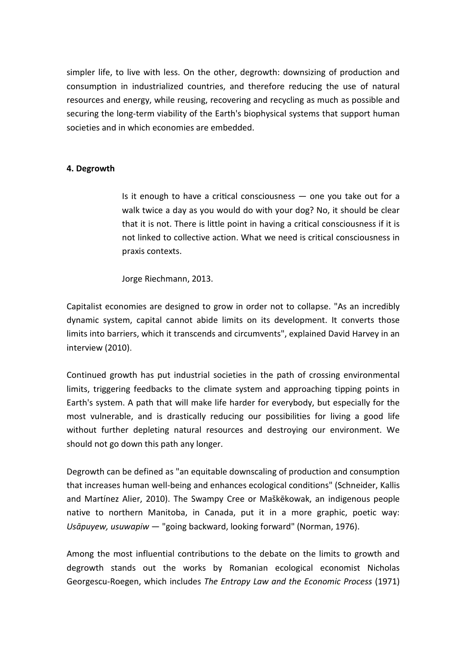simpler life, to live with less. On the other, degrowth: downsizing of production and consumption in industrialized countries, and therefore reducing the use of natural resources and energy, while reusing, recovering and recycling as much as possible and securing the long-term viability of the Earth's biophysical systems that support human societies and in which economies are embedded.

### **4. Degrowth**

Is it enough to have a critical consciousness  $-$  one you take out for a walk twice a day as you would do with your dog? No, it should be clear that it is not. There is little point in having a critical consciousness if it is not linked to collective action. What we need is critical consciousness in praxis contexts.

Jorge Riechmann, 2013.

Capitalist economies are designed to grow in order not to collapse. "As an incredibly dynamic system, capital cannot abide limits on its development. It converts those limits into barriers, which it transcends and circumvents", explained David Harvey in an interview (2010).

Continued growth has put industrial societies in the path of crossing environmental limits, triggering feedbacks to the climate system and approaching tipping points in Earth's system. A path that will make life harder for everybody, but especially for the most vulnerable, and is drastically reducing our possibilities for living a good life without further depleting natural resources and destroying our environment. We should not go down this path any longer.

Degrowth can be defined as "an equitable downscaling of production and consumption that increases human well-being and enhances ecological conditions" (Schneider, Kallis and Martínez Alier, 2010). The Swampy Cree or Maškēkowak, an indigenous people native to northern Manitoba, in Canada, put it in a more graphic, poetic way: *Usāpuyew, usuwapiw* ― "going backward, looking forward" (Norman, 1976).

Among the most influential contributions to the debate on the limits to growth and degrowth stands out the works by Romanian ecological economist Nicholas Georgescu-Roegen, which includes *The Entropy Law and the Economic Process* (1971)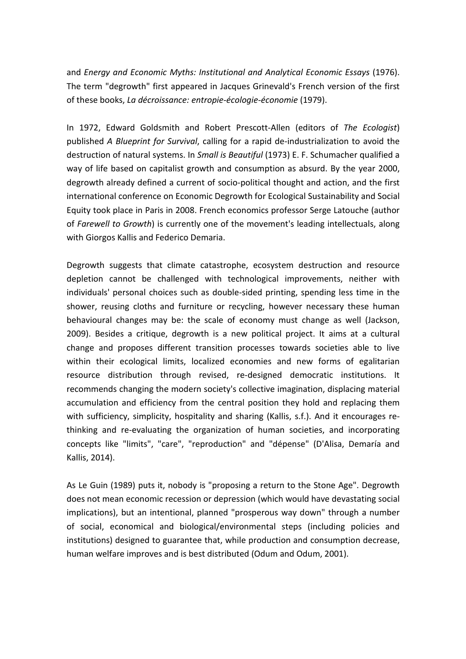and *Energy and Economic Myths: Institutional and Analytical Economic Essays* (1976). The term "degrowth" first appeared in Jacques Grinevald's French version of the first of these books, *La décroissance: entropie-écologie-économie* (1979).

In 1972, Edward Goldsmith and Robert Prescott-Allen (editors of *The Ecologist*) published *A Blueprint for Survival*, calling for a rapid de-industrialization to avoid the destruction of natural systems. In *Small is Beautiful* (1973) E. F. Schumacher qualified a way of life based on capitalist growth and consumption as absurd. By the year 2000, degrowth already defined a current of socio-political thought and action, and the first international conference on Economic Degrowth for Ecological Sustainability and Social Equity took place in Paris in 2008. French economics professor Serge Latouche (author of *Farewell to Growth*) is currently one of the movement's leading intellectuals, along with Giorgos Kallis and Federico Demaria.

Degrowth suggests that climate catastrophe, ecosystem destruction and resource depletion cannot be challenged with technological improvements, neither with individuals' personal choices such as double-sided printing, spending less time in the shower, reusing cloths and furniture or recycling, however necessary these human behavioural changes may be: the scale of economy must change as well (Jackson, 2009). Besides a critique, degrowth is a new political project. It aims at a cultural change and proposes different transition processes towards societies able to live within their ecological limits, localized economies and new forms of egalitarian resource distribution through revised, re-designed democratic institutions. It recommends changing the modern society's collective imagination, displacing material accumulation and efficiency from the central position they hold and replacing them with sufficiency, simplicity, hospitality and sharing (Kallis, s.f.). And it encourages rethinking and re-evaluating the organization of human societies, and incorporating concepts like "limits", "care", "reproduction" and "dépense" (D'Alisa, Demaría and Kallis, 2014).

As Le Guin (1989) puts it, nobody is "proposing a return to the Stone Age". Degrowth does not mean economic recession or depression (which would have devastating social implications), but an intentional, planned "prosperous way down" through a number of social, economical and biological/environmental steps (including policies and institutions) designed to guarantee that, while production and consumption decrease, human welfare improves and is best distributed (Odum and Odum, 2001).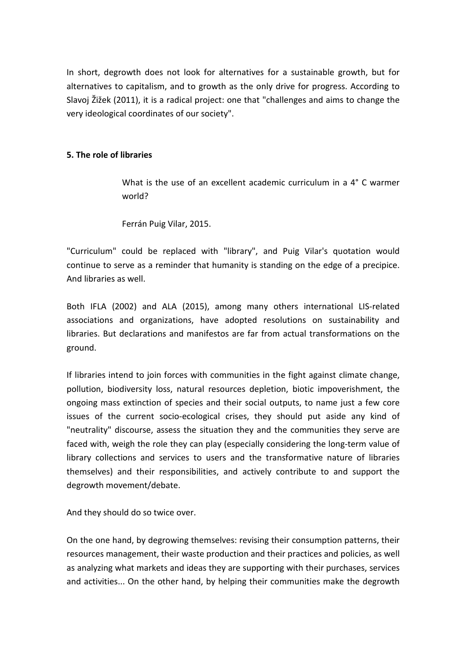In short, degrowth does not look for alternatives for a sustainable growth, but for alternatives to capitalism, and to growth as the only drive for progress. According to Slavoj Žižek (2011), it is a radical project: one that "challenges and aims to change the very ideological coordinates of our society".

# **5. The role of libraries**

What is the use of an excellent academic curriculum in a 4° C warmer world?

Ferrán Puig Vilar, 2015.

"Curriculum" could be replaced with "library", and Puig Vilar's quotation would continue to serve as a reminder that humanity is standing on the edge of a precipice. And libraries as well.

Both IFLA (2002) and ALA (2015), among many others international LIS-related associations and organizations, have adopted resolutions on sustainability and libraries. But declarations and manifestos are far from actual transformations on the ground.

If libraries intend to join forces with communities in the fight against climate change, pollution, biodiversity loss, natural resources depletion, biotic impoverishment, the ongoing mass extinction of species and their social outputs, to name just a few core issues of the current socio-ecological crises, they should put aside any kind of "neutrality" discourse, assess the situation they and the communities they serve are faced with, weigh the role they can play (especially considering the long-term value of library collections and services to users and the transformative nature of libraries themselves) and their responsibilities, and actively contribute to and support the degrowth movement/debate.

And they should do so twice over.

On the one hand, by degrowing themselves: revising their consumption patterns, their resources management, their waste production and their practices and policies, as well as analyzing what markets and ideas they are supporting with their purchases, services and activities... On the other hand, by helping their communities make the degrowth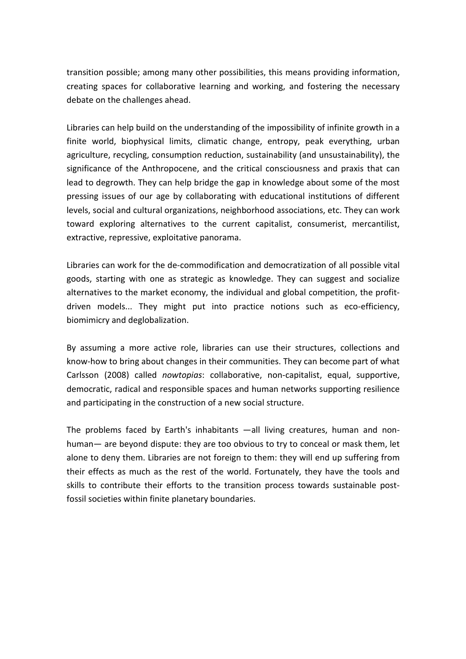transition possible; among many other possibilities, this means providing information, creating spaces for collaborative learning and working, and fostering the necessary debate on the challenges ahead.

Libraries can help build on the understanding of the impossibility of infinite growth in a finite world, biophysical limits, climatic change, entropy, peak everything, urban agriculture, recycling, consumption reduction, sustainability (and unsustainability), the significance of the Anthropocene, and the critical consciousness and praxis that can lead to degrowth. They can help bridge the gap in knowledge about some of the most pressing issues of our age by collaborating with educational institutions of different levels, social and cultural organizations, neighborhood associations, etc. They can work toward exploring alternatives to the current capitalist, consumerist, mercantilist, extractive, repressive, exploitative panorama.

Libraries can work for the de-commodification and democratization of all possible vital goods, starting with one as strategic as knowledge. They can suggest and socialize alternatives to the market economy, the individual and global competition, the profitdriven models... They might put into practice notions such as eco-efficiency, biomimicry and deglobalization.

By assuming a more active role, libraries can use their structures, collections and know-how to bring about changes in their communities. They can become part of what Carlsson (2008) called *nowtopias*: collaborative, non-capitalist, equal, supportive, democratic, radical and responsible spaces and human networks supporting resilience and participating in the construction of a new social structure.

The problems faced by Earth's inhabitants ―all living creatures, human and nonhuman― are beyond dispute: they are too obvious to try to conceal or mask them, let alone to deny them. Libraries are not foreign to them: they will end up suffering from their effects as much as the rest of the world. Fortunately, they have the tools and skills to contribute their efforts to the transition process towards sustainable postfossil societies within finite planetary boundaries.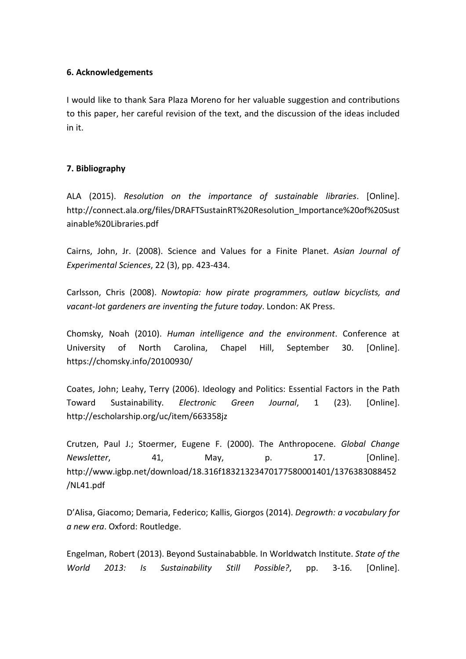#### **6. Acknowledgements**

I would like to thank Sara Plaza Moreno for her valuable suggestion and contributions to this paper, her careful revision of the text, and the discussion of the ideas included in it.

# **7. Bibliography**

ALA (2015). *Resolution on the importance of sustainable libraries*. [Online]. http://connect.ala.org/files/DRAFTSustainRT%20Resolution\_Importance%20of%20Sust ainable%20Libraries.pdf

Cairns, John, Jr. (2008). Science and Values for a Finite Planet. *Asian Journal of Experimental Sciences*, 22 (3), pp. 423-434.

Carlsson, Chris (2008). *Nowtopia: how pirate programmers, outlaw bicyclists, and vacant-lot gardeners are inventing the future today*. London: AK Press.

Chomsky, Noah (2010). *Human intelligence and the environment*. Conference at University of North Carolina, Chapel Hill, September 30. [Online]. https://chomsky.info/20100930/

Coates, John; Leahy, Terry (2006). Ideology and Politics: Essential Factors in the Path Toward Sustainability. *Electronic Green Journal*, 1 (23). [Online]. http://escholarship.org/uc/item/663358jz

Crutzen, Paul J.; Stoermer, Eugene F. (2000). The Anthropocene. *Global Change Newsletter*, 41, May, p. 17. [Online]. http://www.igbp.net/download/18.316f18321323470177580001401/1376383088452 /NL41.pdf

D'Alisa, Giacomo; Demaria, Federico; Kallis, Giorgos (2014). *Degrowth: a vocabulary for a new era*. Oxford: Routledge.

Engelman, Robert (2013). Beyond Sustainababble. In Worldwatch Institute. *State of the World 2013: Is Sustainability Still Possible?*, pp. 3-16. [Online].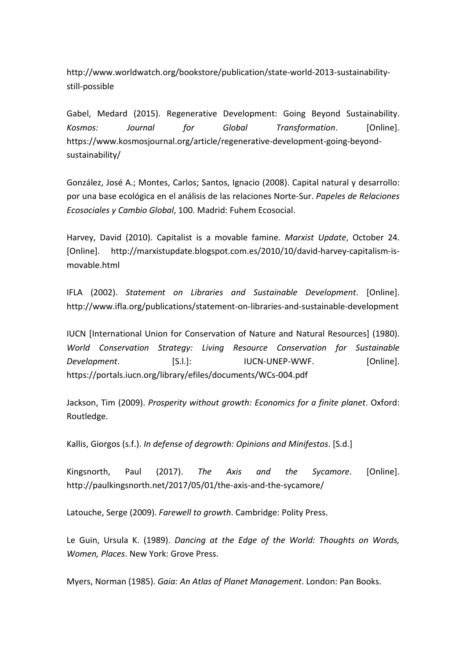http://www.worldwatch.org/bookstore/publication/state-world-2013-sustainabilitystill-possible

Gabel, Medard (2015). Regenerative Development: Going Beyond Sustainability. *Kosmos: Journal for Global Transformation*. [Online]. https://www.kosmosjournal.org/article/regenerative-development-going-beyondsustainability/

González, José A.; Montes, Carlos; Santos, Ignacio (2008). Capital natural y desarrollo: por una base ecológica en el análisis de las relaciones Norte-Sur. *Papeles de Relaciones Ecosociales y Cambio Global*, 100. Madrid: Fuhem Ecosocial.

Harvey, David (2010). Capitalist is a movable famine. *Marxist Update*, October 24. [Online]. http://marxistupdate.blogspot.com.es/2010/10/david-harvey-capitalism-ismovable.html

IFLA (2002). *Statement on Libraries and Sustainable Development*. [Online]. http://www.ifla.org/publications/statement-on-libraries-and-sustainable-development

IUCN [International Union for Conservation of Nature and Natural Resources] (1980). *World Conservation Strategy: Living Resource Conservation for Sustainable Development*. [S.l.]: IUCN-UNEP-WWF. [Online]. https://portals.iucn.org/library/efiles/documents/WCs-004.pdf

Jackson, Tim (2009). *Prosperity without growth: Economics for a finite planet*. Oxford: Routledge.

Kallis, Giorgos (s.f.). *In defense of degrowth: Opinions and Minifestos*. [S.d.]

Kingsnorth, Paul (2017). *The Axis and the Sycamore*. [Online]. http://paulkingsnorth.net/2017/05/01/the-axis-and-the-sycamore/

Latouche, Serge (2009). *Farewell to growth*. Cambridge: Polity Press.

Le Guin, Ursula K. (1989). *Dancing at the Edge of the World: Thoughts on Words, Women, Places*. New York: Grove Press.

Myers, Norman (1985). *Gaia: An Atlas of Planet Management*. London: Pan Books.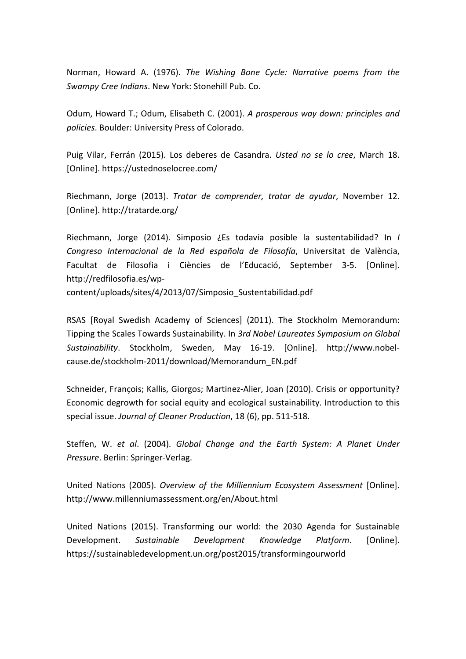Norman, Howard A. (1976). *The Wishing Bone Cycle: Narrative poems from the Swampy Cree Indians*. New York: Stonehill Pub. Co.

Odum, Howard T.; Odum, Elisabeth C. (2001). *A prosperous way down: principles and policies*. Boulder: University Press of Colorado.

Puig Vilar, Ferrán (2015). Los deberes de Casandra. *Usted no se lo cree*, March 18. [Online]. https://ustednoselocree.com/

Riechmann, Jorge (2013). *Tratar de comprender, tratar de ayudar*, November 12. [Online]. http://tratarde.org/

Riechmann, Jorge (2014). Simposio ¿Es todavía posible la sustentabilidad? In *I Congreso Internacional de la Red española de Filosofía*, Universitat de València, Facultat de Filosofia i Ciències de l'Educació, September 3-5. [Online]. http://redfilosofia.es/wp-

content/uploads/sites/4/2013/07/Simposio\_Sustentabilidad.pdf

RSAS [Royal Swedish Academy of Sciences] (2011). The Stockholm Memorandum: Tipping the Scales Towards Sustainability. In *3rd Nobel Laureates Symposium on Global Sustainability*. Stockholm, Sweden, May 16-19. [Online]. http://www.nobelcause.de/stockholm-2011/download/Memorandum\_EN.pdf

Schneider, François; Kallis, Giorgos; Martinez-Alier, Joan (2010). Crisis or opportunity? Economic degrowth for social equity and ecological sustainability. Introduction to this special issue. *Journal of Cleaner Production*, 18 (6), pp. 511-518.

Steffen, W. *et al*. (2004). *Global Change and the Earth System: A Planet Under Pressure*. Berlin: Springer-Verlag.

United Nations (2005). *Overview of the Milliennium Ecosystem Assessment* [Online]. http://www.millenniumassessment.org/en/About.html

United Nations (2015). Transforming our world: the 2030 Agenda for Sustainable Development. *Sustainable Development Knowledge Platform*. [Online]. https://sustainabledevelopment.un.org/post2015/transformingourworld